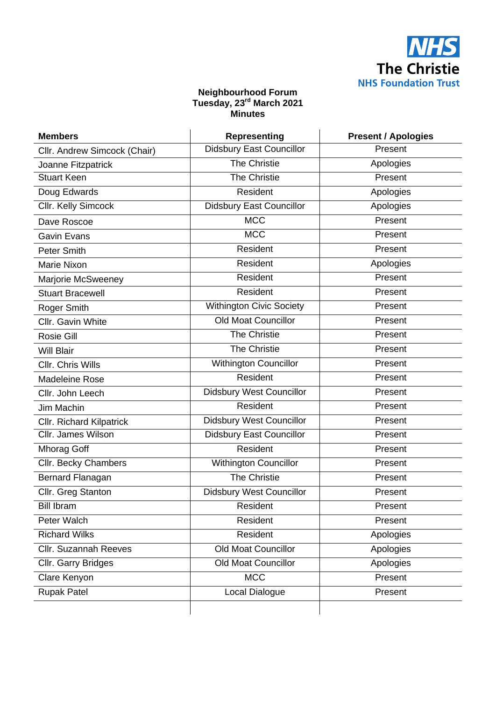

#### **Neighbourhood Forum Tuesday, 23rd March 2021 Minutes**

| <b>Members</b>                  | <b>Representing</b>             | <b>Present / Apologies</b> |
|---------------------------------|---------------------------------|----------------------------|
| Cllr. Andrew Simcock (Chair)    | <b>Didsbury East Councillor</b> | Present                    |
| Joanne Fitzpatrick              | The Christie                    | Apologies                  |
| <b>Stuart Keen</b>              | <b>The Christie</b>             | Present                    |
| Doug Edwards                    | Resident                        | Apologies                  |
| Cllr. Kelly Simcock             | <b>Didsbury East Councillor</b> | Apologies                  |
| Dave Roscoe                     | <b>MCC</b>                      | Present                    |
| <b>Gavin Evans</b>              | <b>MCC</b>                      | Present                    |
| Peter Smith                     | Resident                        | Present                    |
| <b>Marie Nixon</b>              | Resident                        | Apologies                  |
| Marjorie McSweeney              | Resident                        | Present                    |
| <b>Stuart Bracewell</b>         | <b>Resident</b>                 | Present                    |
| Roger Smith                     | <b>Withington Civic Society</b> | Present                    |
| Cllr. Gavin White               | <b>Old Moat Councillor</b>      | Present                    |
| <b>Rosie Gill</b>               | <b>The Christie</b>             | Present                    |
| <b>Will Blair</b>               | <b>The Christie</b>             | Present                    |
| Cllr. Chris Wills               | Withington Councillor           | Present                    |
| <b>Madeleine Rose</b>           | Resident                        | Present                    |
| Cllr. John Leech                | <b>Didsbury West Councillor</b> | Present                    |
| Jim Machin                      | <b>Resident</b>                 | Present                    |
| <b>Cllr. Richard Kilpatrick</b> | <b>Didsbury West Councillor</b> | Present                    |
| Cllr. James Wilson              | <b>Didsbury East Councillor</b> | Present                    |
| <b>Mhorag Goff</b>              | Resident                        | Present                    |
| Cllr. Becky Chambers            | Withington Councillor           | Present                    |
| Bernard Flanagan                | <b>The Christie</b>             | Present                    |
| Cllr. Greg Stanton              | <b>Didsbury West Councillor</b> | Present                    |
| <b>Bill Ibram</b>               | Resident                        | Present                    |
| Peter Walch                     | Resident                        | Present                    |
| <b>Richard Wilks</b>            | Resident                        | Apologies                  |
| <b>Cllr. Suzannah Reeves</b>    | <b>Old Moat Councillor</b>      | Apologies                  |
| Cllr. Garry Bridges             | <b>Old Moat Councillor</b>      | Apologies                  |
| Clare Kenyon                    | <b>MCC</b>                      | Present                    |
| <b>Rupak Patel</b>              | Local Dialogue                  | Present                    |
|                                 |                                 |                            |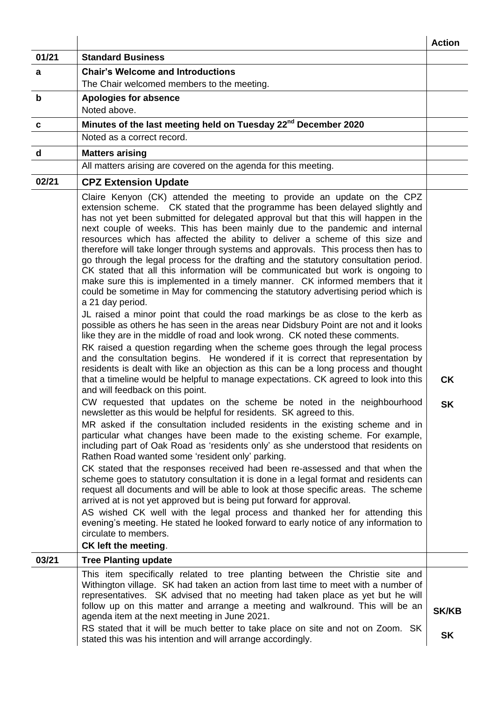|             |                                                                                                                                                                                                                                                                                                                                                                                                                                                                                                                                                                                                                                                                                                                                                                                                                                                                                                                                                                                                                                                                                                                                                                                                                                                                                                                                                                                                                                                                                                                                                                                                                                                                                                                                                                                                                                                                                                                                                                                                                                                                                                                                                                                                                                                                                                                                                                                                                                                                                                                                                        | <b>Action</b>             |
|-------------|--------------------------------------------------------------------------------------------------------------------------------------------------------------------------------------------------------------------------------------------------------------------------------------------------------------------------------------------------------------------------------------------------------------------------------------------------------------------------------------------------------------------------------------------------------------------------------------------------------------------------------------------------------------------------------------------------------------------------------------------------------------------------------------------------------------------------------------------------------------------------------------------------------------------------------------------------------------------------------------------------------------------------------------------------------------------------------------------------------------------------------------------------------------------------------------------------------------------------------------------------------------------------------------------------------------------------------------------------------------------------------------------------------------------------------------------------------------------------------------------------------------------------------------------------------------------------------------------------------------------------------------------------------------------------------------------------------------------------------------------------------------------------------------------------------------------------------------------------------------------------------------------------------------------------------------------------------------------------------------------------------------------------------------------------------------------------------------------------------------------------------------------------------------------------------------------------------------------------------------------------------------------------------------------------------------------------------------------------------------------------------------------------------------------------------------------------------------------------------------------------------------------------------------------------------|---------------------------|
| 01/21       | <b>Standard Business</b>                                                                                                                                                                                                                                                                                                                                                                                                                                                                                                                                                                                                                                                                                                                                                                                                                                                                                                                                                                                                                                                                                                                                                                                                                                                                                                                                                                                                                                                                                                                                                                                                                                                                                                                                                                                                                                                                                                                                                                                                                                                                                                                                                                                                                                                                                                                                                                                                                                                                                                                               |                           |
| a           | <b>Chair's Welcome and Introductions</b>                                                                                                                                                                                                                                                                                                                                                                                                                                                                                                                                                                                                                                                                                                                                                                                                                                                                                                                                                                                                                                                                                                                                                                                                                                                                                                                                                                                                                                                                                                                                                                                                                                                                                                                                                                                                                                                                                                                                                                                                                                                                                                                                                                                                                                                                                                                                                                                                                                                                                                               |                           |
|             | The Chair welcomed members to the meeting.                                                                                                                                                                                                                                                                                                                                                                                                                                                                                                                                                                                                                                                                                                                                                                                                                                                                                                                                                                                                                                                                                                                                                                                                                                                                                                                                                                                                                                                                                                                                                                                                                                                                                                                                                                                                                                                                                                                                                                                                                                                                                                                                                                                                                                                                                                                                                                                                                                                                                                             |                           |
| $\mathbf b$ | <b>Apologies for absence</b><br>Noted above.                                                                                                                                                                                                                                                                                                                                                                                                                                                                                                                                                                                                                                                                                                                                                                                                                                                                                                                                                                                                                                                                                                                                                                                                                                                                                                                                                                                                                                                                                                                                                                                                                                                                                                                                                                                                                                                                                                                                                                                                                                                                                                                                                                                                                                                                                                                                                                                                                                                                                                           |                           |
| C           | Minutes of the last meeting held on Tuesday 22 <sup>nd</sup> December 2020                                                                                                                                                                                                                                                                                                                                                                                                                                                                                                                                                                                                                                                                                                                                                                                                                                                                                                                                                                                                                                                                                                                                                                                                                                                                                                                                                                                                                                                                                                                                                                                                                                                                                                                                                                                                                                                                                                                                                                                                                                                                                                                                                                                                                                                                                                                                                                                                                                                                             |                           |
|             | Noted as a correct record.                                                                                                                                                                                                                                                                                                                                                                                                                                                                                                                                                                                                                                                                                                                                                                                                                                                                                                                                                                                                                                                                                                                                                                                                                                                                                                                                                                                                                                                                                                                                                                                                                                                                                                                                                                                                                                                                                                                                                                                                                                                                                                                                                                                                                                                                                                                                                                                                                                                                                                                             |                           |
| d           | <b>Matters arising</b>                                                                                                                                                                                                                                                                                                                                                                                                                                                                                                                                                                                                                                                                                                                                                                                                                                                                                                                                                                                                                                                                                                                                                                                                                                                                                                                                                                                                                                                                                                                                                                                                                                                                                                                                                                                                                                                                                                                                                                                                                                                                                                                                                                                                                                                                                                                                                                                                                                                                                                                                 |                           |
|             | All matters arising are covered on the agenda for this meeting.                                                                                                                                                                                                                                                                                                                                                                                                                                                                                                                                                                                                                                                                                                                                                                                                                                                                                                                                                                                                                                                                                                                                                                                                                                                                                                                                                                                                                                                                                                                                                                                                                                                                                                                                                                                                                                                                                                                                                                                                                                                                                                                                                                                                                                                                                                                                                                                                                                                                                        |                           |
| 02/21       | <b>CPZ Extension Update</b>                                                                                                                                                                                                                                                                                                                                                                                                                                                                                                                                                                                                                                                                                                                                                                                                                                                                                                                                                                                                                                                                                                                                                                                                                                                                                                                                                                                                                                                                                                                                                                                                                                                                                                                                                                                                                                                                                                                                                                                                                                                                                                                                                                                                                                                                                                                                                                                                                                                                                                                            |                           |
|             | Claire Kenyon (CK) attended the meeting to provide an update on the CPZ<br>extension scheme. CK stated that the programme has been delayed slightly and<br>has not yet been submitted for delegated approval but that this will happen in the<br>next couple of weeks. This has been mainly due to the pandemic and internal<br>resources which has affected the ability to deliver a scheme of this size and<br>therefore will take longer through systems and approvals. This process then has to<br>go through the legal process for the drafting and the statutory consultation period.<br>CK stated that all this information will be communicated but work is ongoing to<br>make sure this is implemented in a timely manner. CK informed members that it<br>could be sometime in May for commencing the statutory advertising period which is<br>a 21 day period.<br>JL raised a minor point that could the road markings be as close to the kerb as<br>possible as others he has seen in the areas near Didsbury Point are not and it looks<br>like they are in the middle of road and look wrong. CK noted these comments.<br>RK raised a question regarding when the scheme goes through the legal process<br>and the consultation begins. He wondered if it is correct that representation by<br>residents is dealt with like an objection as this can be a long process and thought<br>that a timeline would be helpful to manage expectations. CK agreed to look into this<br>and will feedback on this point.<br>CW requested that updates on the scheme be noted in the neighbourhood<br>newsletter as this would be helpful for residents. SK agreed to this.<br>MR asked if the consultation included residents in the existing scheme and in<br>particular what changes have been made to the existing scheme. For example,<br>including part of Oak Road as 'residents only' as she understood that residents on<br>Rathen Road wanted some 'resident only' parking.<br>CK stated that the responses received had been re-assessed and that when the<br>scheme goes to statutory consultation it is done in a legal format and residents can<br>request all documents and will be able to look at those specific areas. The scheme<br>arrived at is not yet approved but is being put forward for approval.<br>AS wished CK well with the legal process and thanked her for attending this<br>evening's meeting. He stated he looked forward to early notice of any information to<br>circulate to members.<br>CK left the meeting. | <b>CK</b><br><b>SK</b>    |
| 03/21       | <b>Tree Planting update</b>                                                                                                                                                                                                                                                                                                                                                                                                                                                                                                                                                                                                                                                                                                                                                                                                                                                                                                                                                                                                                                                                                                                                                                                                                                                                                                                                                                                                                                                                                                                                                                                                                                                                                                                                                                                                                                                                                                                                                                                                                                                                                                                                                                                                                                                                                                                                                                                                                                                                                                                            |                           |
|             | This item specifically related to tree planting between the Christie site and<br>Withington village. SK had taken an action from last time to meet with a number of<br>representatives. SK advised that no meeting had taken place as yet but he will<br>follow up on this matter and arrange a meeting and walkround. This will be an<br>agenda item at the next meeting in June 2021.<br>RS stated that it will be much better to take place on site and not on Zoom. SK<br>stated this was his intention and will arrange accordingly.                                                                                                                                                                                                                                                                                                                                                                                                                                                                                                                                                                                                                                                                                                                                                                                                                                                                                                                                                                                                                                                                                                                                                                                                                                                                                                                                                                                                                                                                                                                                                                                                                                                                                                                                                                                                                                                                                                                                                                                                              | <b>SK/KB</b><br><b>SK</b> |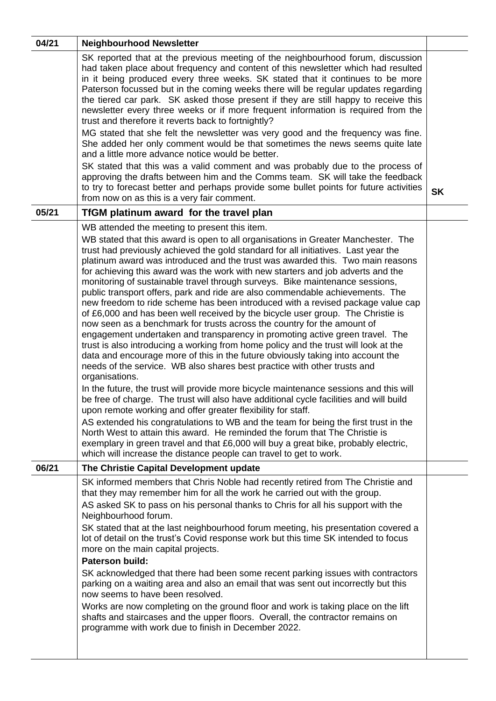| 04/21 | <b>Neighbourhood Newsletter</b>                                                                                                                                                                                                                                                                                                                                                                                                                                                                                                                                                                                                                                                                                                                                                                                                                                                                                                                                                                                                                                                                                                                                                                                                                                                                                                                                                                                                                                                                                                                                                                                                                                                         |           |
|-------|-----------------------------------------------------------------------------------------------------------------------------------------------------------------------------------------------------------------------------------------------------------------------------------------------------------------------------------------------------------------------------------------------------------------------------------------------------------------------------------------------------------------------------------------------------------------------------------------------------------------------------------------------------------------------------------------------------------------------------------------------------------------------------------------------------------------------------------------------------------------------------------------------------------------------------------------------------------------------------------------------------------------------------------------------------------------------------------------------------------------------------------------------------------------------------------------------------------------------------------------------------------------------------------------------------------------------------------------------------------------------------------------------------------------------------------------------------------------------------------------------------------------------------------------------------------------------------------------------------------------------------------------------------------------------------------------|-----------|
|       | SK reported that at the previous meeting of the neighbourhood forum, discussion<br>had taken place about frequency and content of this newsletter which had resulted<br>in it being produced every three weeks. SK stated that it continues to be more<br>Paterson focussed but in the coming weeks there will be regular updates regarding<br>the tiered car park. SK asked those present if they are still happy to receive this<br>newsletter every three weeks or if more frequent information is required from the<br>trust and therefore it reverts back to fortnightly?<br>MG stated that she felt the newsletter was very good and the frequency was fine.<br>She added her only comment would be that sometimes the news seems quite late<br>and a little more advance notice would be better.<br>SK stated that this was a valid comment and was probably due to the process of<br>approving the drafts between him and the Comms team. SK will take the feedback<br>to try to forecast better and perhaps provide some bullet points for future activities<br>from now on as this is a very fair comment.                                                                                                                                                                                                                                                                                                                                                                                                                                                                                                                                                                    | <b>SK</b> |
| 05/21 | TfGM platinum award for the travel plan                                                                                                                                                                                                                                                                                                                                                                                                                                                                                                                                                                                                                                                                                                                                                                                                                                                                                                                                                                                                                                                                                                                                                                                                                                                                                                                                                                                                                                                                                                                                                                                                                                                 |           |
|       | WB attended the meeting to present this item.<br>WB stated that this award is open to all organisations in Greater Manchester. The<br>trust had previously achieved the gold standard for all initiatives. Last year the<br>platinum award was introduced and the trust was awarded this. Two main reasons<br>for achieving this award was the work with new starters and job adverts and the<br>monitoring of sustainable travel through surveys. Bike maintenance sessions,<br>public transport offers, park and ride are also commendable achievements. The<br>new freedom to ride scheme has been introduced with a revised package value cap<br>of £6,000 and has been well received by the bicycle user group. The Christie is<br>now seen as a benchmark for trusts across the country for the amount of<br>engagement undertaken and transparency in promoting active green travel. The<br>trust is also introducing a working from home policy and the trust will look at the<br>data and encourage more of this in the future obviously taking into account the<br>needs of the service. WB also shares best practice with other trusts and<br>organisations.<br>In the future, the trust will provide more bicycle maintenance sessions and this will<br>be free of charge. The trust will also have additional cycle facilities and will build<br>upon remote working and offer greater flexibility for staff.<br>AS extended his congratulations to WB and the team for being the first trust in the<br>North West to attain this award. He reminded the forum that The Christie is<br>exemplary in green travel and that £6,000 will buy a great bike, probably electric, |           |
| 06/21 | which will increase the distance people can travel to get to work.                                                                                                                                                                                                                                                                                                                                                                                                                                                                                                                                                                                                                                                                                                                                                                                                                                                                                                                                                                                                                                                                                                                                                                                                                                                                                                                                                                                                                                                                                                                                                                                                                      |           |
|       | The Christie Capital Development update<br>SK informed members that Chris Noble had recently retired from The Christie and<br>that they may remember him for all the work he carried out with the group.<br>AS asked SK to pass on his personal thanks to Chris for all his support with the<br>Neighbourhood forum.<br>SK stated that at the last neighbourhood forum meeting, his presentation covered a<br>lot of detail on the trust's Covid response work but this time SK intended to focus<br>more on the main capital projects.<br><b>Paterson build:</b><br>SK acknowledged that there had been some recent parking issues with contractors<br>parking on a waiting area and also an email that was sent out incorrectly but this<br>now seems to have been resolved.<br>Works are now completing on the ground floor and work is taking place on the lift<br>shafts and staircases and the upper floors. Overall, the contractor remains on<br>programme with work due to finish in December 2022.                                                                                                                                                                                                                                                                                                                                                                                                                                                                                                                                                                                                                                                                            |           |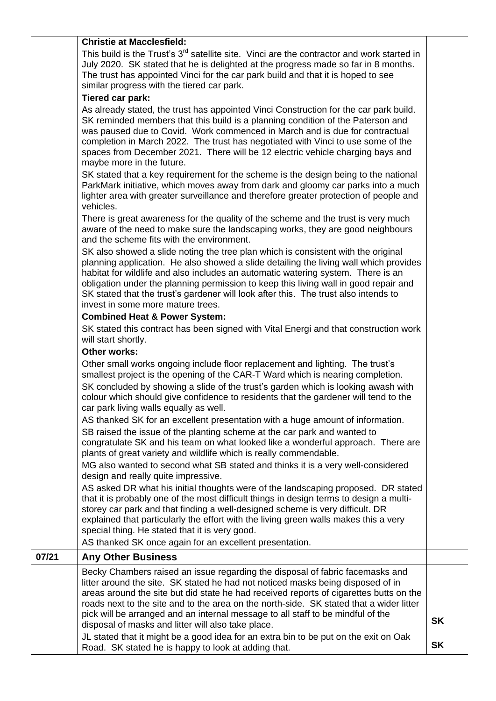#### **Christie at Macclesfield:**

This build is the Trust's 3<sup>rd</sup> satellite site. Vinci are the contractor and work started in July 2020. SK stated that he is delighted at the progress made so far in 8 months. The trust has appointed Vinci for the car park build and that it is hoped to see similar progress with the tiered car park.

### **Tiered car park:**

As already stated, the trust has appointed Vinci Construction for the car park build. SK reminded members that this build is a planning condition of the Paterson and was paused due to Covid. Work commenced in March and is due for contractual completion in March 2022. The trust has negotiated with Vinci to use some of the spaces from December 2021. There will be 12 electric vehicle charging bays and maybe more in the future.

SK stated that a key requirement for the scheme is the design being to the national ParkMark initiative, which moves away from dark and gloomy car parks into a much lighter area with greater surveillance and therefore greater protection of people and vehicles.

There is great awareness for the quality of the scheme and the trust is very much aware of the need to make sure the landscaping works, they are good neighbours and the scheme fits with the environment.

SK also showed a slide noting the tree plan which is consistent with the original planning application. He also showed a slide detailing the living wall which provides habitat for wildlife and also includes an automatic watering system. There is an obligation under the planning permission to keep this living wall in good repair and SK stated that the trust's gardener will look after this. The trust also intends to invest in some more mature trees.

### **Combined Heat & Power System:**

SK stated this contract has been signed with Vital Energi and that construction work will start shortly.

## **Other works:**

Other small works ongoing include floor replacement and lighting. The trust's smallest project is the opening of the CAR-T Ward which is nearing completion. SK concluded by showing a slide of the trust's garden which is looking awash with colour which should give confidence to residents that the gardener will tend to the car park living walls equally as well.

AS thanked SK for an excellent presentation with a huge amount of information. SB raised the issue of the planting scheme at the car park and wanted to congratulate SK and his team on what looked like a wonderful approach. There are plants of great variety and wildlife which is really commendable.

MG also wanted to second what SB stated and thinks it is a very well-considered design and really quite impressive.

AS asked DR what his initial thoughts were of the landscaping proposed. DR stated that it is probably one of the most difficult things in design terms to design a multistorey car park and that finding a well-designed scheme is very difficult. DR explained that particularly the effort with the living green walls makes this a very special thing. He stated that it is very good.

AS thanked SK once again for an excellent presentation.

# **07/21 Any Other Business**

| Becky Chambers raised an issue regarding the disposal of fabric facemasks and<br>litter around the site. SK stated he had not noticed masks being disposed of in<br>areas around the site but did state he had received reports of cigarettes butts on the<br>roads next to the site and to the area on the north-side. SK stated that a wider litter<br>pick will be arranged and an internal message to all staff to be mindful of the<br>disposal of masks and litter will also take place. | <b>SK</b> |
|------------------------------------------------------------------------------------------------------------------------------------------------------------------------------------------------------------------------------------------------------------------------------------------------------------------------------------------------------------------------------------------------------------------------------------------------------------------------------------------------|-----------|
| JL stated that it might be a good idea for an extra bin to be put on the exit on Oak<br>Road. SK stated he is happy to look at adding that.                                                                                                                                                                                                                                                                                                                                                    | <b>SK</b> |